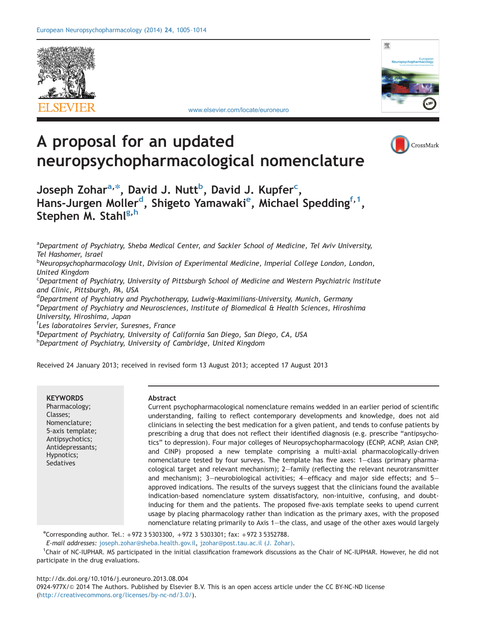



# A proposal for an updated neuropsychopharmacological nomenclature

<www.elsevier.com/locate/euroneuro>



Joseph Zohar<sup>a,\*</sup>, David J. Nutt<sup>b</sup>, David J. Kupfer<sup>c</sup>, Hans-Jurgen Moller<sup>d</sup>, Shigeto Yamawaki<sup>e</sup>, Michael Spedding<sup>f, 1</sup>, Stephen M. Stahl<sup>g,h</sup>

aDepartment of Psychiatry, Sheba Medical Center, and Sackler School of Medicine, Tel Aviv University, Tel Hashomer, Israel

<sup>b</sup>Neuropsychopharmacology Unit, Division of Experimental Medicine, Imperial College London, London, United Kingdom

<sup>c</sup>Department of Psychiatry, University of Pittsburgh School of Medicine and Western Psychiatric Institute and Clinic, Pittsburgh, PA, USA

<sup>d</sup>Department of Psychiatry and Psychotherapy, Ludwig-Maximilians-University, Munich, Germany <sup>e</sup> Department of Psychiatry and Neurosciences, Institute of Biomedical & Health Sciences, Hiroshima University, Hiroshima, Japan

f Les laboratoires Servier, Suresnes, France

<sup>g</sup>Department of Psychiatry, University of California San Diego, San Diego, CA, USA h Department of Psychiatry, University of Cambridge, United Kingdom

Received 24 January 2013; received in revised form 13 August 2013; accepted 17 August 2013

**KEYWORDS** Pharmacology; Classes; Nomenclature; 5-axis template; Antipsychotics; Antidepressants; Hypnotics; Sedatives

#### Abstract

Current psychopharmacological nomenclature remains wedded in an earlier period of scientific understanding, failing to reflect contemporary developments and knowledge, does not aid clinicians in selecting the best medication for a given patient, and tends to confuse patients by prescribing a drug that does not reflect their identified diagnosis (e.g. prescribe "antipsychotics" to depression). Four major colleges of Neuropsychopharmacology (ECNP, ACNP, Asian CNP, and CINP) proposed a new template comprising a multi-axial pharmacologically-driven nomenclature tested by four surveys. The template has five axes: 1—class (primary pharmacological target and relevant mechanism); 2—family (reflecting the relevant neurotransmitter and mechanism); 3—neurobiological activities; 4—efficacy and major side effects; and 5 approved indications. The results of the surveys suggest that the clinicians found the available indication-based nomenclature system dissatisfactory, non-intuitive, confusing, and doubtinducing for them and the patients. The proposed five-axis template seeks to upend current usage by placing pharmacology rather than indication as the primary axes, with the proposed nomenclature relating primarily to Axis 1—the class, and usage of the other axes would largely

n Corresponding author. Tel.: +972 3 5303300, +972 3 5303301; fax: +972 3 5352788.

E-mail addresses: [joseph.zohar@sheba.health.gov.il](mailto:joseph.zohar@sheba.health.gov.il), [jzohar@post.tau.ac.il \(J. Zohar\)](mailto:jzohar@post.tau.ac.il).

1 Chair of NC-IUPHAR. MS participated in the initial classification framework discussions as the Chair of NC-IUPHAR. However, he did not participate in the drug evaluations.

[http://dx.doi.org/10.1016/j.euroneuro.2013.08.004](dx.doi.org/10.1016/j.euroneuro.2013.08.004)

0924-977X/@ [2014 The Authors. Published by Elsevier B.V. This is an open access article under the CC BY-NC-ND license](dx.doi.org/10.1016/j.euroneuro.2013.08.004) [\(http://creativecommons.org/licenses/by-nc-nd/3.0/\).](dx.doi.org/10.1016/j.euroneuro.2013.08.004)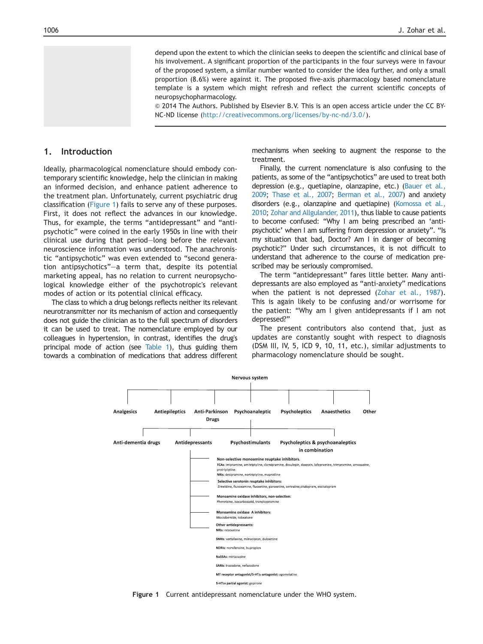depend upon the extent to which the clinician seeks to deepen the scientific and clinical base of his involvement. A significant proportion of the participants in the four surveys were in favour of the proposed system, a similar number wanted to consider the idea further, and only a small proportion (8.6%) were against it. The proposed five-axis pharmacology based nomenclature template is a system which might refresh and reflect the current scientific concepts of neuropsychopharmacology.

& 2014 The Authors. Published by Elsevier B.V. This is an open access article under the CC BY-NC-ND license (http://creativecommons.org/licenses/by-nc-nd/3.0/).

# 1. Introduction

Ideally, pharmacological nomenclature should embody contemporary scientific knowledge, help the clinician in making an informed decision, and enhance patient adherence to the treatment plan. Unfortunately, current psychiatric drug classification (Figure 1) fails to serve any of these purposes. First, it does not reflect the advances in our knowledge. Thus, for example, the terms "antidepressant" and "antipsychotic" were coined in the early 1950s in line with their clinical use during that period—long before the relevant neuroscience information was understood. The anachronistic "antipsychotic" was even extended to "second generation antipsychotics"—a term that, despite its potential marketing appeal, has no relation to current neuropsychological knowledge either of the psychotropic's relevant modes of action or its potential clinical efficacy.

The class to which a drug belongs reflects neither its relevant neurotransmitter nor its mechanism of action and consequently does not guide the clinician as to the full spectrum of disorders it can be used to treat. The nomenclature employed by our colleagues in hypertension, in contrast, identifies the drug's principal mode of action (see [Table 1\)](#page-2-0), thus guiding them towards a combination of medications that address different mechanisms when seeking to augment the response to the treatment.

Finally, the current nomenclature is also confusing to the patients, as some of the "antipsychotics" are used to treat both depression (e.g., quetiapine, olanzapine, etc.) [\(Bauer et al.,](#page-9-0) [2009](#page-9-0); [Thase et al., 2007](#page-9-0); [Berman et al., 2007\)](#page-9-0) and anxiety disorders (e.g., olanzapine and quetiapine) [\(Komossa et al.,](#page-9-0) [2010](#page-9-0); [Zohar and Allgulander, 2011\)](#page-9-0), thus liable to cause patients to become confused: "Why I am being prescribed an 'antipsychotic' when I am suffering from depression or anxiety". "Is my situation that bad, Doctor? Am I in danger of becoming psychotic?" Under such circumstances, it is not difficult to understand that adherence to the course of medication prescribed may be seriously compromised.

The term "antidepressant" fares little better. Many antidepressants are also employed as "anti-anxiety" medications when the patient is not depressed ([Zohar et al., 1987](#page-9-0)). This is again likely to be confusing and/or worrisome for the patient: "Why am I given antidepressants if I am not depressed?"

The present contributors also contend that, just as updates are constantly sought with respect to diagnosis (DSM III, IV, 5, ICD 9, 10, 11, etc.), similar adjustments to pharmacology nomenclature should be sought.



Figure 1 Current antidepressant nomenclature under the WHO system.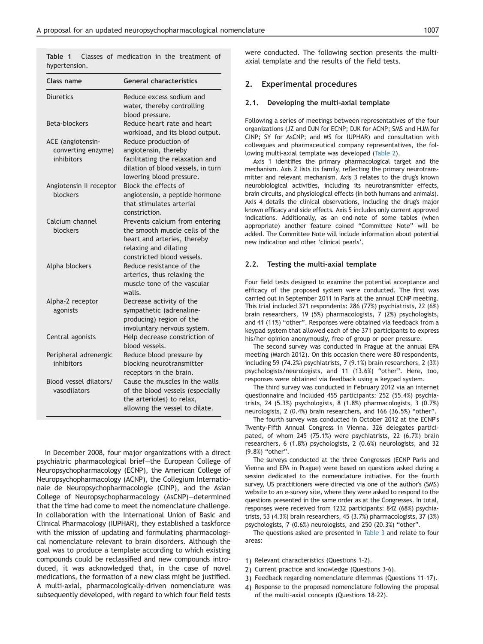<span id="page-2-0"></span>

|               |  | <b>Table 1</b> Classes of medication in the treatment of |  |  |
|---------------|--|----------------------------------------------------------|--|--|
| hypertension. |  |                                                          |  |  |

| Class name                                            | <b>General characteristics</b>                                                                                                                         |  |
|-------------------------------------------------------|--------------------------------------------------------------------------------------------------------------------------------------------------------|--|
| Diuretics                                             | Reduce excess sodium and<br>water, thereby controlling<br>blood pressure.                                                                              |  |
| Beta-blockers                                         | Reduce heart rate and heart<br>workload, and its blood output.                                                                                         |  |
| ACE (angiotensin-<br>converting enzyme)<br>inhibitors | Reduce production of<br>angiotensin, thereby<br>facilitating the relaxation and<br>dilation of blood vessels, in turn<br>lowering blood pressure.      |  |
| Angiotensin II receptor<br><b>blockers</b>            | Block the effects of<br>angiotensin, a peptide hormone<br>that stimulates arterial<br>constriction.                                                    |  |
| Calcium channel<br>blockers                           | Prevents calcium from entering<br>the smooth muscle cells of the<br>heart and arteries, thereby<br>relaxing and dilating<br>constricted blood vessels. |  |
| Alpha blockers                                        | Reduce resistance of the<br>arteries, thus relaxing the<br>muscle tone of the vascular<br>walls.                                                       |  |
| Alpha-2 receptor<br>agonists                          | Decrease activity of the<br>sympathetic (adrenaline-<br>producing) region of the<br>involuntary nervous system.                                        |  |
| Central agonists                                      | Help decrease constriction of<br>blood vessels.                                                                                                        |  |
| Peripheral adrenergic<br>inhibitors                   | Reduce blood pressure by<br>blocking neurotransmitter<br>receptors in the brain.                                                                       |  |
| Blood vessel dilators/<br>vasodilators                | Cause the muscles in the walls<br>of the blood vessels (especially<br>the arterioles) to relax,<br>allowing the vessel to dilate.                      |  |

In December 2008, four major organizations with a direct psychiatric pharmacological brief—the European College of Neuropsychopharmacology (ECNP), the American College of Neuropsychopharmacology (ACNP), the Collegium Internationale de Neuropsychopharmacologie (CINP), and the Asian College of Neuropsychopharmacology (AsCNP)—determined that the time had come to meet the nomenclature challenge. In collaboration with the International Union of Basic and Clinical Pharmacology (IUPHAR), they established a taskforce with the mission of updating and formulating pharmacological nomenclature relevant to brain disorders. Although the goal was to produce a template according to which existing compounds could be reclassified and new compounds introduced, it was acknowledged that, in the case of novel medications, the formation of a new class might be justified. A multi-axial, pharmacologically-driven nomenclature was subsequently developed, with regard to which four field tests were conducted. The following section presents the multiaxial template and the results of the field tests.

#### 2. Experimental procedures

#### 2.1. Developing the multi-axial template

Following a series of meetings between representatives of the four organizations (JZ and DJN for ECNP; DJK for ACNP; SMS and HJM for CINP; SY for AsCNP; and MS for IUPHAR) and consultation with colleagues and pharmaceutical company representatives, the following multi-axial template was developed [\(Table 2](#page-3-0)).

Axis 1 identifies the primary pharmacological target and the mechanism. Axis 2 lists its family, reflecting the primary neurotransmitter and relevant mechanism. Axis 3 relates to the drug's known neurobiological activities, including its neurotransmitter effects, brain circuits, and physiological effects (in both humans and animals). Axis 4 details the clinical observations, including the drug's major known efficacy and side effects. Axis 5 includes only current approved indications. Additionally, as an end-note of some tables (when appropriate) another feature coined "Committee Note" will be added. The Committee Note will include information about potential new indication and other 'clinical pearls'.

### 2.2. Testing the multi-axial template

Four field tests designed to examine the potential acceptance and efficacy of the proposed system were conducted. The first was carried out in September 2011 in Paris at the annual ECNP meeting. This trial included 371 respondents: 286 (77%) psychiatrists, 22 (6%) brain researchers, 19 (5%) pharmacologists, 7 (2%) psychologists, and 41 (11%) "other". Responses were obtained via feedback from a keypad system that allowed each of the 371 participants to express his/her opinion anonymously, free of group or peer pressure.

The second survey was conducted in Prague at the annual EPA meeting (March 2012). On this occasion there were 80 respondents, including 59 (74.2%) psychiatrists, 7 (9.1%) brain researchers, 2 (3%) psychologists/neurologists, and 11 (13.6%) "other". Here, too, responses were obtained via feedback using a keypad system.

The third survey was conducted in February 2012 via an internet questionnaire and included 455 participants: 252 (55.4%) psychiatrists, 24 (5.3%) psychologists, 8 (1.8%) pharmacologists, 3 (0.7%) neurologists, 2 (0.4%) brain researchers, and 166 (36.5%) "other".

The fourth survey was conducted in October 2012 at the ECNP's Twenty-Fifth Annual Congress in Vienna. 326 delegates participated, of whom 245 (75.1%) were psychiatrists, 22 (6.7%) brain researchers, 6 (1.8%) psychologists, 2 (0.6%) neurologists, and 32 (9.8%) "other".

The surveys conducted at the three Congresses (ECNP Paris and Vienna and EPA in Prague) were based on questions asked during a session dedicated to the nomenclature initiative. For the fourth survey, US practitioners were directed via one of the author's (SMS) website to an e-survey site, where they were asked to respond to the questions presented in the same order as at the Congresses. In total, responses were received from 1232 participants: 842 (68%) psychiatrists, 53 (4.3%) brain researchers, 45 (3.7%) pharmacologists, 37 (3%) psychologists, 7 (0.6%) neurologists, and 250 (20.3%) "other".

The questions asked are presented in [Table 3](#page-3-0) and relate to four areas:

- 1) Relevant characteristics (Questions 1–2).
- 2) Current practice and knowledge (Questions 3–6).
- 3) Feedback regarding nomenclature dilemmas (Questions 11–17).
- 4) Response to the proposed nomenclature following the proposal of the multi-axial concepts (Questions 18–22).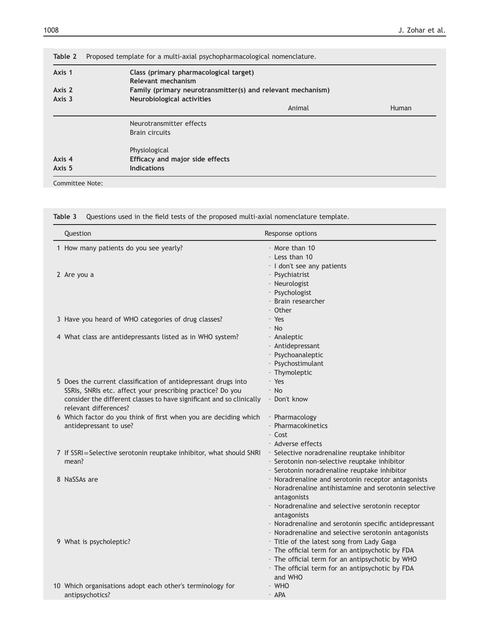<span id="page-3-0"></span>

| Table 2 | Proposed template for a multi-axial psychopharmacological nomenclature. |  |  |  |
|---------|-------------------------------------------------------------------------|--|--|--|
| Axis 1  | Class (primary pharmacological target)<br>Relevant mechanism            |  |  |  |
| Axis 2  | Family (primary neurotransmitter(s) and relevant mechanism)             |  |  |  |
| Axis 3  | Neurobiological activities                                              |  |  |  |
|         | Animal<br>Human                                                         |  |  |  |
|         | Neurotransmitter effects                                                |  |  |  |
|         | <b>Brain circuits</b>                                                   |  |  |  |
|         | Physiological                                                           |  |  |  |
| Axis 4  | Efficacy and major side effects                                         |  |  |  |
| Axis 5  | <b>Indications</b>                                                      |  |  |  |

Committee Note:

|  |  |  |  | Table 3 Questions used in the field tests of the proposed multi-axial nomenclature template. |
|--|--|--|--|----------------------------------------------------------------------------------------------|
|--|--|--|--|----------------------------------------------------------------------------------------------|

| Question                                                                                                                                                                                                                      | Response options                                                                                                                                                                                                                                                                                              |
|-------------------------------------------------------------------------------------------------------------------------------------------------------------------------------------------------------------------------------|---------------------------------------------------------------------------------------------------------------------------------------------------------------------------------------------------------------------------------------------------------------------------------------------------------------|
| 1 How many patients do you see yearly?                                                                                                                                                                                        | - More than 10<br>- Less than 10                                                                                                                                                                                                                                                                              |
| 2 Are you a                                                                                                                                                                                                                   | - I don't see any patients<br>- Psychiatrist<br>- Neurologist<br>- Psychologist<br>- Brain researcher<br>- Other                                                                                                                                                                                              |
| 3 Have you heard of WHO categories of drug classes?                                                                                                                                                                           | - Yes<br>$-$ No                                                                                                                                                                                                                                                                                               |
| 4 What class are antidepressants listed as in WHO system?                                                                                                                                                                     | - Analeptic<br>- Antidepressant<br>- Psychoanaleptic<br>- Psychostimulant<br>- Thymoleptic                                                                                                                                                                                                                    |
| 5 Does the current classification of antidepressant drugs into<br>SSRIs, SNRIs etc. affect your prescribing practice? Do you<br>consider the different classes to have significant and so clinically<br>relevant differences? | - Yes<br>$-$ No<br>- Don't know                                                                                                                                                                                                                                                                               |
| 6 Which factor do you think of first when you are deciding which<br>antidepressant to use?                                                                                                                                    | - Pharmacology<br>- Pharmacokinetics<br>- Cost<br>- Adverse effects                                                                                                                                                                                                                                           |
| 7 If SSRI=Selective serotonin reuptake inhibitor, what should SNRI<br>mean?                                                                                                                                                   | - Selective noradrenaline reuptake inhibitor<br>- Serotonin non-selective reuptake inhibitor<br>- Serotonin noradrenaline reuptake inhibitor                                                                                                                                                                  |
| 8 NaSSAs are                                                                                                                                                                                                                  | - Noradrenaline and serotonin receptor antagonists<br>- Noradrenaline antihistamine and serotonin selective<br>antagonists<br>- Noradrenaline and selective serotonin receptor<br>antagonists<br>- Noradrenaline and serotonin specific antidepressant<br>- Noradrenaline and selective serotonin antagonists |
| 9 What is psycholeptic?                                                                                                                                                                                                       | - Title of the latest song from Lady Gaga<br>- The official term for an antipsychotic by FDA<br>- The official term for an antipsychotic by WHO<br>- The official term for an antipsychotic by FDA<br>and WHO                                                                                                 |
| 10 Which organisations adopt each other's terminology for<br>antipsychotics?                                                                                                                                                  | - WHO<br>- APA                                                                                                                                                                                                                                                                                                |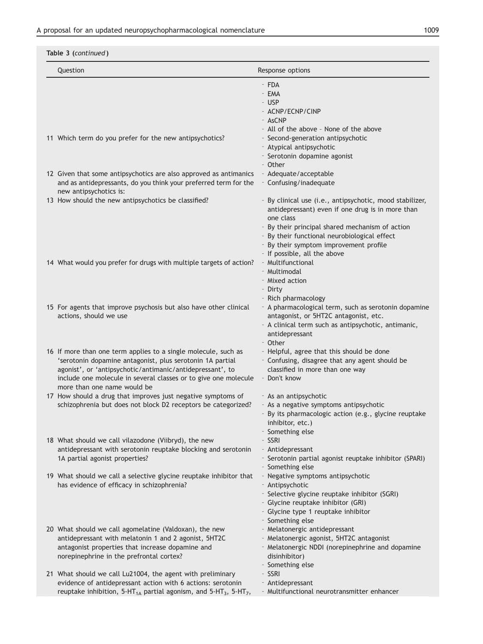# Table 3 (continued )

| Question                                                                                                                              | Response options                                                                                                          |
|---------------------------------------------------------------------------------------------------------------------------------------|---------------------------------------------------------------------------------------------------------------------------|
|                                                                                                                                       | - FDA                                                                                                                     |
|                                                                                                                                       | - EMA                                                                                                                     |
|                                                                                                                                       | - USP                                                                                                                     |
|                                                                                                                                       | - ACNP/ECNP/CINP                                                                                                          |
|                                                                                                                                       | - AsCNP                                                                                                                   |
|                                                                                                                                       | - All of the above - None of the above                                                                                    |
| 11 Which term do you prefer for the new antipsychotics?                                                                               | - Second-generation antipsychotic                                                                                         |
|                                                                                                                                       | - Atypical antipsychotic                                                                                                  |
|                                                                                                                                       | - Serotonin dopamine agonist                                                                                              |
|                                                                                                                                       | - Other                                                                                                                   |
| 12 Given that some antipsychotics are also approved as antimanics<br>and as antidepressants, do you think your preferred term for the | - Adequate/acceptable<br>- Confusing/inadequate                                                                           |
| new antipsychotics is:<br>13 How should the new antipsychotics be classified?                                                         |                                                                                                                           |
|                                                                                                                                       | - By clinical use (i.e., antipsychotic, mood stabilizer,<br>antidepressant) even if one drug is in more than<br>one class |
|                                                                                                                                       | - By their principal shared mechanism of action                                                                           |
|                                                                                                                                       | - By their functional neurobiological effect                                                                              |
|                                                                                                                                       | - By their symptom improvement profile                                                                                    |
|                                                                                                                                       | - If possible, all the above                                                                                              |
| 14 What would you prefer for drugs with multiple targets of action?                                                                   | - Multifunctional                                                                                                         |
|                                                                                                                                       | - Multimodal                                                                                                              |
|                                                                                                                                       | - Mixed action                                                                                                            |
|                                                                                                                                       | - Dirty                                                                                                                   |
|                                                                                                                                       | - Rich pharmacology                                                                                                       |
| 15 For agents that improve psychosis but also have other clinical                                                                     | - A pharmacological term, such as serotonin dopamine                                                                      |
| actions, should we use                                                                                                                | antagonist, or 5HT2C antagonist, etc.                                                                                     |
|                                                                                                                                       | - A clinical term such as antipsychotic, antimanic,                                                                       |
|                                                                                                                                       | antidepressant                                                                                                            |
|                                                                                                                                       | - Other                                                                                                                   |
| 16 If more than one term applies to a single molecule, such as                                                                        | - Helpful, agree that this should be done                                                                                 |
| 'serotonin dopamine antagonist, plus serotonin 1A partial                                                                             | - Confusing, disagree that any agent should be                                                                            |
| agonist', or 'antipsychotic/antimanic/antidepressant', to                                                                             | classified in more than one way                                                                                           |
| include one molecule in several classes or to give one molecule                                                                       | - Don't know                                                                                                              |
| more than one name would be                                                                                                           |                                                                                                                           |
| 17 How should a drug that improves just negative symptoms of                                                                          | - As an antipsychotic                                                                                                     |
| schizophrenia but does not block D2 receptors be categorized?                                                                         | - As a negative symptoms antipsychotic                                                                                    |
|                                                                                                                                       | - By its pharmacologic action (e.g., glycine reuptake<br>inhibitor, etc.)                                                 |
|                                                                                                                                       | - Something else                                                                                                          |
| 18 What should we call vilazodone (Viibryd), the new                                                                                  | - SSRI                                                                                                                    |
| antidepressant with serotonin reuptake blocking and serotonin                                                                         | - Antidepressant                                                                                                          |
| 1A partial agonist properties?                                                                                                        | - Serotonin partial agonist reuptake inhibitor (SPARI)                                                                    |
|                                                                                                                                       | - Something else                                                                                                          |
| 19 What should we call a selective glycine reuptake inhibitor that                                                                    | - Negative symptoms antipsychotic                                                                                         |
| has evidence of efficacy in schizophrenia?                                                                                            | - Antipsychotic                                                                                                           |
|                                                                                                                                       | - Selective glycine reuptake inhibitor (SGRI)                                                                             |
|                                                                                                                                       | - Glycine reuptake inhibitor (GRI)                                                                                        |
|                                                                                                                                       | - Glycine type 1 reuptake inhibitor                                                                                       |
|                                                                                                                                       | - Something else                                                                                                          |
| 20 What should we call agomelatine (Valdoxan), the new                                                                                | - Melatonergic antidepressant                                                                                             |
| antidepressant with melatonin 1 and 2 agonist, 5HT2C                                                                                  | - Melatonergic agonist, 5HT2C antagonist                                                                                  |
| antagonist properties that increase dopamine and                                                                                      | - Melatonergic NDDI (norepinephrine and dopamine                                                                          |
| norepinephrine in the prefrontal cortex?                                                                                              | disinhibitor)                                                                                                             |
|                                                                                                                                       | - Something else                                                                                                          |
| 21 What should we call Lu21004, the agent with preliminary                                                                            | - SSRI                                                                                                                    |
| evidence of antidepressant action with 6 actions: serotonin                                                                           | - Antidepressant                                                                                                          |
| reuptake inhibition, $5-HT_{1A}$ partial agonism, and $5-HT_3$ , $5-HT_7$ ,                                                           | - Multifunctional neurotransmitter enhancer                                                                               |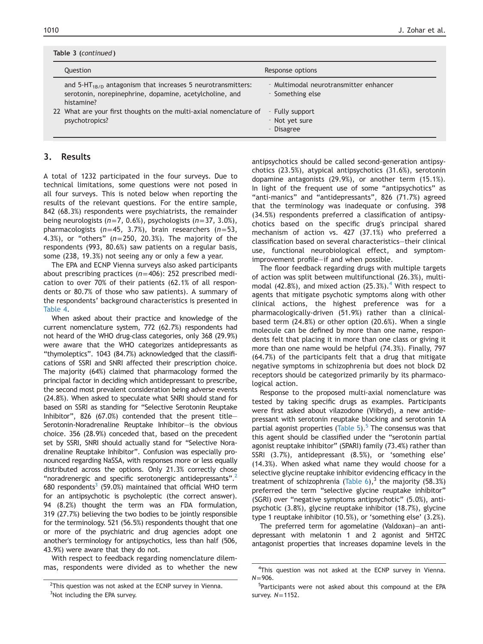# $Table 3 (continued)$

| <b>IGUIL J (CONTINUED)</b>                                                                                                             |                                                            |
|----------------------------------------------------------------------------------------------------------------------------------------|------------------------------------------------------------|
| <b>Ouestion</b>                                                                                                                        | Response options                                           |
| and $5-HT1B/D$ antagonism that increases 5 neurotransmitters:<br>serotonin, norepinephrine, dopamine, acetylcholine, and<br>histamine? | - Multimodal neurotransmitter enhancer<br>- Something else |
| 22 What are your first thoughts on the multi-axial nomenclature of<br>psychotropics?                                                   | - Fully support<br>- Not yet sure<br>- Disagree            |

# 3. Results

A total of 1232 participated in the four surveys. Due to technical limitations, some questions were not posed in all four surveys. This is noted below when reporting the results of the relevant questions. For the entire sample, 842 (68.3%) respondents were psychiatrists, the remainder being neurologists  $(n=7, 0.6\%)$ , psychologists  $(n=37, 3.0\%)$ , pharmacologists ( $n=45$ , 3.7%), brain researchers ( $n=53$ , 4.3%), or "others"  $(n=250, 20.3)$ . The majority of the respondents (993, 80.6%) saw patients on a regular basis, some (238, 19.3%) not seeing any or only a few a year.

The EPA and ECNP Vienna surveys also asked participants about prescribing practices ( $n=406$ ): 252 prescribed medication to over 70% of their patients (62.1% of all respondents or 80.7% of those who saw patients). A summary of the respondents' background characteristics is presented in [Table 4.](#page-6-0)

When asked about their practice and knowledge of the current nomenclature system, 772 (62.7%) respondents had not heard of the WHO drug-class categories, only 368 (29.9%) were aware that the WHO categorizes antidepressants as "thymoleptics". 1043 (84.7%) acknowledged that the classifications of SSRI and SNRI affected their prescription choice. The majority (64%) claimed that pharmacology formed the principal factor in deciding which antidepressant to prescribe, the second most prevalent consideration being adverse events (24.8%). When asked to speculate what SNRI should stand for based on SSRI as standing for "Selective Serotonin Reuptake Inhibitor", 826 (67.0%) contended that the present title— Serotonin-Noradrenaline Reuptake Inhibitor—is the obvious choice. 356 (28.9%) conceded that, based on the precedent set by SSRI, SNRI should actually stand for "Selective Noradrenaline Reuptake Inhibitor". Confusion was especially pronounced regarding NaSSA, with responses more or less equally distributed across the options. Only 21.3% correctly chose "noradrenergic and specific serotonergic antidepressants".<sup>2</sup> 680 respondents<sup>3</sup> (59.0%) maintained that official WHO term for an antipsychotic is psycholeptic (the correct answer). 94 (8.2%) thought the term was an FDA formulation, 319 (27.7%) believing the two bodies to be jointly responsible for the terminology. 521 (56.5%) respondents thought that one or more of the psychiatric and drug agencies adopt one another's terminology for antipsychotics, less than half (506, 43.9%) were aware that they do not.

With respect to feedback regarding nomenclature dilemmas, respondents were divided as to whether the new

1010 J. Zohar et al.

antipsychotics should be called second-generation antipsychotics (23.5%), atypical antipsychotics (31.6%), serotonin dopamine antagonists (29.9%), or another term (15.1%). In light of the frequent use of some "antipsychotics" as "anti-manics" and "antidepressants", 826 (71.7%) agreed that the terminology was inadequate or confusing. 398 (34.5%) respondents preferred a classification of antipsychotics based on the specific drug's principal shared mechanism of action vs. 427 (37.1%) who preferred a classification based on several characteristics—their clinical use, functional neurobiological effect, and symptomimprovement profile—if and when possible.

The floor feedback regarding drugs with multiple targets of action was split between multifunctional (26.3%), multimodal (42.8%), and mixed action  $(25.3\%)$ .<sup>4</sup> With respect to agents that mitigate psychotic symptoms along with other clinical actions, the highest preference was for a pharmacologically-driven (51.9%) rather than a clinicalbased term (24.8%) or other option (20.6%). When a single molecule can be defined by more than one name, respondents felt that placing it in more than one class or giving it more than one name would be helpful (74.3%). Finally, 797 (64.7%) of the participants felt that a drug that mitigate negative symptoms in schizophrenia but does not block D2 receptors should be categorized primarily by its pharmacological action.

Response to the proposed multi-axial nomenclature was tested by taking specific drugs as examples. Participants were first asked about vilazodone (Viibryd), a new antidepressant with serotonin reuptake blocking and serotonin 1A partial agonist properties (Table  $5$ ).<sup>5</sup> The consensus was that this agent should be classified under the "serotonin partial agonist reuptake inhibitor" (SPARI) family (73.4%) rather than SSRI (3.7%), antidepressant (8.5%), or 'something else' (14.3%). When asked what name they would choose for a selective glycine reuptake inhibitor evidencing efficacy in the treatment of schizophrenia ([Table 6\)](#page-7-0),<sup>3</sup> the majority (58.3%) preferred the term "selective glycine reuptake inhibitor" (SGRI) over "negative symptoms antipsychotic" (5.0%), antipsychotic (3.8%), glycine reuptake inhibitor (18.7%), glycine type 1 reuptake inhibitor (10.5%), or 'something else' (3.2%).

The preferred term for agomelatine (Valdoxan)—an antidepressant with melatonin 1 and 2 agonist and 5HT2C antagonist properties that increases dopamine levels in the

<sup>&</sup>lt;sup>2</sup>This question was not asked at the ECNP survey in Vienna. <sup>3</sup>Not including the EPA survey.

<sup>&</sup>lt;sup>4</sup>This question was not asked at the ECNP survey in Vienna.  $N = 906$ 

<sup>&</sup>lt;sup>5</sup>Participants were not asked about this compound at the EPA survey.  $N=1152$ .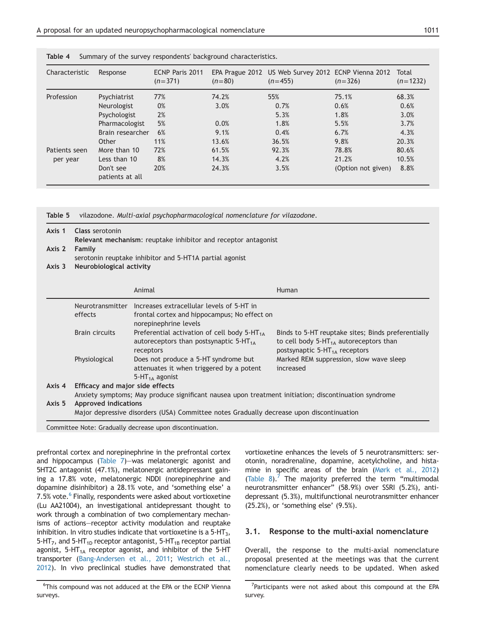| Characteristic | Response                     | <b>ECNP Paris 2011</b><br>$(n=371)$ | $(n=80)$ | EPA Prague 2012 US Web Survey 2012 ECNP Vienna 2012<br>$(n=455)$ | $(n=326)$          | Total<br>$(n=1232)$ |
|----------------|------------------------------|-------------------------------------|----------|------------------------------------------------------------------|--------------------|---------------------|
| Profession     | Psychiatrist                 | 77%                                 | 74.2%    | 55%                                                              | 75.1%              | 68.3%               |
|                | Neurologist                  | 0%                                  | 3.0%     | 0.7%                                                             | 0.6%               | 0.6%                |
|                | Psychologist                 | 2%                                  |          | 5.3%                                                             | 1.8%               | 3.0%                |
|                | Pharmacologist               | 5%                                  | 0.0%     | 1.8%                                                             | 5.5%               | 3.7%                |
|                | Brain researcher             | 6%                                  | 9.1%     | 0.4%                                                             | 6.7%               | 4.3%                |
|                | Other                        | 11%                                 | 13.6%    | 36.5%                                                            | 9.8%               | 20.3%               |
| Patients seen  | More than 10                 | 72%                                 | 61.5%    | 92.3%                                                            | 78.8%              | 80.6%               |
| per year       | Less than 10                 | 8%                                  | 14.3%    | 4.2%                                                             | 21.2%              | 10.5%               |
|                | Don't see<br>patients at all | 20%                                 | 24.3%    | 3.5%                                                             | (Option not given) | 8.8%                |

<span id="page-6-0"></span>

| Table 4 |  |  |  |  | Summary of the survey respondents' background characteristics. |
|---------|--|--|--|--|----------------------------------------------------------------|
|---------|--|--|--|--|----------------------------------------------------------------|

Table 5 vilazodone. Multi-axial psychopharmacological nomenclature for vilazodone.

| Axis 1<br>Axis 2<br>Axis 3 | Class serotonin<br>Relevant mechanism: reuptake inhibitor and receptor antagonist<br>Family<br>serotonin reuptake inhibitor and 5-HT1A partial agonist<br>Neurobiological activity                                              |                                                                                                                             |                                                                                                          |  |  |  |
|----------------------------|---------------------------------------------------------------------------------------------------------------------------------------------------------------------------------------------------------------------------------|-----------------------------------------------------------------------------------------------------------------------------|----------------------------------------------------------------------------------------------------------|--|--|--|
|                            |                                                                                                                                                                                                                                 | Animal                                                                                                                      | Human                                                                                                    |  |  |  |
|                            | effects                                                                                                                                                                                                                         | Neurotransmitter Increases extracellular levels of 5-HT in<br>frontal cortex and hippocampus; No effect on                  |                                                                                                          |  |  |  |
|                            | <b>Brain circuits</b>                                                                                                                                                                                                           | norepinephrine levels<br>Preferential activation of cell body 5-HT $_{14}$<br>autoreceptors than postsynaptic $5-HT_{14}$   | Binds to 5-HT reuptake sites; Binds preferentially<br>to cell body 5-HT <sub>14</sub> autoreceptors than |  |  |  |
|                            | Physiological                                                                                                                                                                                                                   | receptors<br>Does not produce a 5-HT syndrome but<br>attenuates it when triggered by a potent<br>5-HT <sub>14</sub> agonist | postsynaptic 5-HT <sub>1A</sub> receptors<br>Marked REM suppression, slow wave sleep<br>increased        |  |  |  |
| Axis 4                     | Efficacy and major side effects                                                                                                                                                                                                 |                                                                                                                             |                                                                                                          |  |  |  |
| Axis 5                     | Anxiety symptoms; May produce significant nausea upon treatment initiation; discontinuation syndrome<br><b>Approved indications</b><br>Major depressive disorders (USA) Committee notes Gradually decrease upon discontinuation |                                                                                                                             |                                                                                                          |  |  |  |

Committee Note: Gradually decrease upon discontinuation.

prefrontal cortex and norepinephrine in the prefrontal cortex and hippocampus [\(Table 7](#page-8-0))—was melatonergic agonist and 5HT2C antagonist (47.1%), melatonergic antidepressant gaining a 17.8% vote, melatonergic NDDI (norepinephrine and dopamine disinhibitor) a 28.1% vote, and 'something else' a 7.5% vote.<sup>6</sup> Finally, respondents were asked about vortioxetine (Lu AA21004), an investigational antidepressant thought to work through a combination of two complementary mechanisms of actions—receptor activity modulation and reuptake inhibition. In vitro studies indicate that vortioxetine is a  $5-HT_3$ , 5-HT<sub>7</sub>, and 5-HT<sub>1D</sub> receptor antagonist, 5-HT<sub>1B</sub> receptor partial agonist,  $5-HT_{1A}$  receptor agonist, and inhibitor of the  $5-HT$ transporter [\(Bang-Andersen et al., 2011](#page-9-0); [Westrich et al.,](#page-9-0) [2012](#page-9-0)). In vivo preclinical studies have demonstrated that

vortioxetine enhances the levels of 5 neurotransmitters: serotonin, noradrenaline, dopamine, acetylcholine, and histamine in specific areas of the brain ([Mørk et al., 2012](#page-9-0)) [\(Table 8\)](#page-8-0). $^7$  The majority preferred the term "multimodal neurotransmitter enhancer" (58.9%) over SSRI (5.2%), antidepressant (5.3%), multifunctional neurotransmitter enhancer (25.2%), or 'something else' (9.5%).

#### 3.1. Response to the multi-axial nomenclature

Overall, the response to the multi-axial nomenclature proposal presented at the meetings was that the current nomenclature clearly needs to be updated. When asked

<sup>&</sup>lt;sup>6</sup>This compound was not adduced at the EPA or the ECNP Vienna surveys.

<sup>&</sup>lt;sup>7</sup>Participants were not asked about this compound at the EPA survey.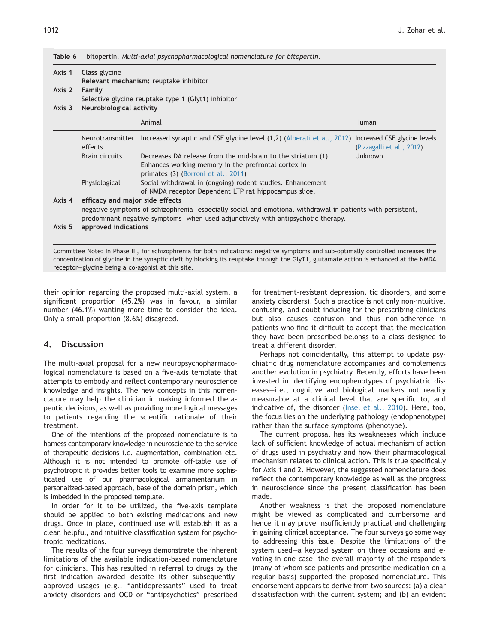<span id="page-7-0"></span>

| Axis 1            | Class glycine                                                                                                                                                                                                                     |                                                                                                                                                            |                                                           |  |  |  |
|-------------------|-----------------------------------------------------------------------------------------------------------------------------------------------------------------------------------------------------------------------------------|------------------------------------------------------------------------------------------------------------------------------------------------------------|-----------------------------------------------------------|--|--|--|
|                   |                                                                                                                                                                                                                                   | Relevant mechanism: reuptake inhibitor                                                                                                                     |                                                           |  |  |  |
| Axis <sub>2</sub> | Family                                                                                                                                                                                                                            |                                                                                                                                                            |                                                           |  |  |  |
|                   |                                                                                                                                                                                                                                   | Selective glycine reuptake type 1 (Glyt1) inhibitor                                                                                                        |                                                           |  |  |  |
| Axis <sub>3</sub> | Neurobiological activity                                                                                                                                                                                                          |                                                                                                                                                            |                                                           |  |  |  |
|                   |                                                                                                                                                                                                                                   | Animal                                                                                                                                                     | Human                                                     |  |  |  |
|                   | Neurotransmitter<br>effects                                                                                                                                                                                                       | Increased synaptic and CSF glycine level $(1,2)$ (Alberati et al., 2012)                                                                                   | Increased CSF glycine levels<br>(Pizzagalli et al., 2012) |  |  |  |
|                   | <b>Brain circuits</b>                                                                                                                                                                                                             | Decreases DA release from the mid-brain to the striatum (1).<br>Enhances working memory in the prefrontal cortex in<br>primates (3) (Borroni et al., 2011) | Unknown                                                   |  |  |  |
|                   | Physiological                                                                                                                                                                                                                     | Social withdrawal in (ongoing) rodent studies. Enhancement<br>of NMDA receptor Dependent LTP rat hippocampus slice.                                        |                                                           |  |  |  |
| Axis 4            | efficacy and major side effects<br>negative symptoms of schizophrenia–especially social and emotional withdrawal in patients with persistent,<br>predominant negative symptoms—when used adjunctively with antipsychotic therapy. |                                                                                                                                                            |                                                           |  |  |  |
| Axis 5            | approved indications                                                                                                                                                                                                              |                                                                                                                                                            |                                                           |  |  |  |

Committee Note: In Phase III, for schizophrenia for both indications: negative symptoms and sub-optimally controlled increases the concentration of glycine in the synaptic cleft by blocking its reuptake through the GlyT1, glutamate action is enhanced at the NMDA receptor—glycine being a co-agonist at this site.

their opinion regarding the proposed multi-axial system, a significant proportion (45.2%) was in favour, a similar number (46.1%) wanting more time to consider the idea. Only a small proportion (8.6%) disagreed.

# 4. Discussion

The multi-axial proposal for a new neuropsychopharmacological nomenclature is based on a five-axis template that attempts to embody and reflect contemporary neuroscience knowledge and insights. The new concepts in this nomenclature may help the clinician in making informed therapeutic decisions, as well as providing more logical messages to patients regarding the scientific rationale of their treatment.

One of the intentions of the proposed nomenclature is to harness contemporary knowledge in neuroscience to the service of therapeutic decisions i.e. augmentation, combination etc. Although it is not intended to promote off-table use of psychotropic it provides better tools to examine more sophisticated use of our pharmacological armamentarium in personalized-based approach, base of the domain prism, which is imbedded in the proposed template.

In order for it to be utilized, the five-axis template should be applied to both existing medications and new drugs. Once in place, continued use will establish it as a clear, helpful, and intuitive classification system for psychotropic medications.

The results of the four surveys demonstrate the inherent limitations of the available indication-based nomenclature for clinicians. This has resulted in referral to drugs by the first indication awarded—despite its other subsequentlyapproved usages (e.g., "antidepressants" used to treat anxiety disorders and OCD or "antipsychotics" prescribed for treatment-resistant depression, tic disorders, and some anxiety disorders). Such a practice is not only non-intuitive, confusing, and doubt-inducing for the prescribing clinicians but also causes confusion and thus non-adherence in patients who find it difficult to accept that the medication they have been prescribed belongs to a class designed to treat a different disorder.

Perhaps not coincidentally, this attempt to update psychiatric drug nomenclature accompanies and complements another evolution in psychiatry. Recently, efforts have been invested in identifying endophenotypes of psychiatric diseases—i.e., cognitive and biological markers not readily measurable at a clinical level that are specific to, and indicative of, the disorder [\(Insel et al., 2010\)](#page-9-0). Here, too, the focus lies on the underlying pathology (endophenotype) rather than the surface symptoms (phenotype).

The current proposal has its weaknesses which include lack of sufficient knowledge of actual mechanism of action of drugs used in psychiatry and how their pharmacological mechanism relates to clinical action. This is true specifically for Axis 1 and 2. However, the suggested nomenclature does reflect the contemporary knowledge as well as the progress in neuroscience since the present classification has been made.

Another weakness is that the proposed nomenclature might be viewed as complicated and cumbersome and hence it may prove insufficiently practical and challenging in gaining clinical acceptance. The four surveys go some way to addressing this issue. Despite the limitations of the system used—a keypad system on three occasions and evoting in one case—the overall majority of the responders (many of whom see patients and prescribe medication on a regular basis) supported the proposed nomenclature. This endorsement appears to derive from two sources: (a) a clear dissatisfaction with the current system; and (b) an evident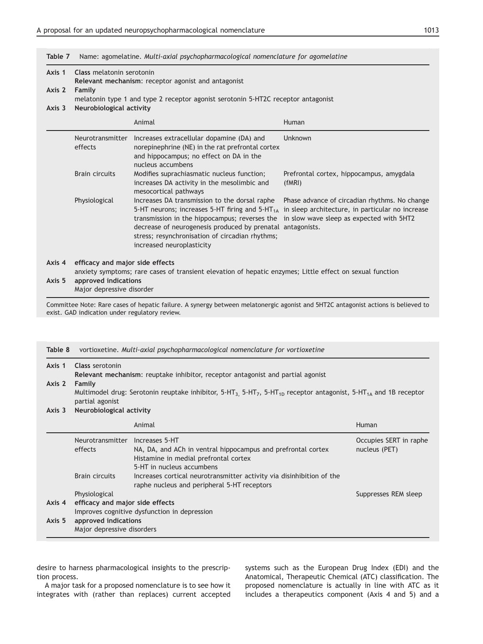<span id="page-8-0"></span>Table 7 Name: agomelatine. Multi-axial psychopharmacological nomenclature for agomelatine

|  | Axis 1 | Class melatonin serotonin |
|--|--------|---------------------------|
|--|--------|---------------------------|

Relevant mechanism: receptor agonist and antagonist

# Axis 2 Family

melatonin type 1 and type 2 receptor agonist serotonin 5-HT2C receptor antagonist

Axis 3 Neurobiological activity

|                             | Animal                                                                                                                                                                                                                                                                                                                                                                                               | Human                                              |
|-----------------------------|------------------------------------------------------------------------------------------------------------------------------------------------------------------------------------------------------------------------------------------------------------------------------------------------------------------------------------------------------------------------------------------------------|----------------------------------------------------|
| Neurotransmitter<br>effects | Increases extracellular dopamine (DA) and<br>norepinephrine (NE) in the rat prefrontal cortex<br>and hippocampus; no effect on DA in the<br>nucleus accumbens                                                                                                                                                                                                                                        | <b>Unknown</b>                                     |
| Brain circuits              | Modifies suprachias matic nucleus function;<br>increases DA activity in the mesolimbic and<br>mesocortical pathways                                                                                                                                                                                                                                                                                  | Prefrontal cortex, hippocampus, amygdala<br>(fMRI) |
| Physiological               | Increases DA transmission to the dorsal raphe<br>5-HT neurons; increases 5-HT firing and 5-HT <sub>14</sub> in sleep architecture, in particular no increase<br>transmission in the hippocampus; reverses the in slow wave sleep as expected with 5HT2<br>decrease of neurogenesis produced by prenatal antagonists.<br>stress; resynchronisation of circadian rhythms;<br>increased neuroplasticity | Phase advance of circadian rhythms. No change      |

Axis 4 efficacy and major side effects

anxiety symptoms; rare cases of transient elevation of hepatic enzymes; Little effect on sexual function

# Axis 5 approved indications

Major depressive disorder

Committee Note: Rare cases of hepatic failure. A synergy between melatonergic agonist and 5HT2C antagonist actions is believed to exist. GAD indication under regulatory review.

| Table 8           |                                                                                                                                                                                               | vortioxetine. Multi-axial psychopharmacological nomenclature for vortioxetine                                                                        |                                         |  |  |
|-------------------|-----------------------------------------------------------------------------------------------------------------------------------------------------------------------------------------------|------------------------------------------------------------------------------------------------------------------------------------------------------|-----------------------------------------|--|--|
| Axis 1            | Class serotonin<br>Relevant mechanism: reuptake inhibitor, receptor antagonist and partial agonist                                                                                            |                                                                                                                                                      |                                         |  |  |
| Axis 2            | Family<br>Multimodel drug: Serotonin reuptake inhibitor, 5-HT <sub>3,</sub> 5-HT <sub>7</sub> , 5-HT <sub>1D</sub> receptor antagonist, 5-HT <sub>1A</sub> and 1B receptor<br>partial agonist |                                                                                                                                                      |                                         |  |  |
| Axis <sub>3</sub> | Neurobiological activity                                                                                                                                                                      |                                                                                                                                                      |                                         |  |  |
|                   |                                                                                                                                                                                               | Animal                                                                                                                                               | Human                                   |  |  |
|                   | Neurotransmitter<br>effects                                                                                                                                                                   | Increases 5-HT<br>NA, DA, and ACh in ventral hippocampus and prefrontal cortex<br>Histamine in medial prefrontal cortex<br>5-HT in nucleus accumbens | Occupies SERT in raphe<br>nucleus (PET) |  |  |
|                   | <b>Brain circuits</b>                                                                                                                                                                         | Increases cortical neurotransmitter activity via disinhibition of the<br>raphe nucleus and peripheral 5-HT receptors                                 |                                         |  |  |
|                   | Physiological                                                                                                                                                                                 |                                                                                                                                                      | Suppresses REM sleep                    |  |  |
| Axis 4            | efficacy and major side effects<br>Improves cognitive dysfunction in depression                                                                                                               |                                                                                                                                                      |                                         |  |  |
| Axis 5            | approved indications<br>Major depressive disorders                                                                                                                                            |                                                                                                                                                      |                                         |  |  |

desire to harness pharmacological insights to the prescription process.

A major task for a proposed nomenclature is to see how it integrates with (rather than replaces) current accepted systems such as the European Drug Index (EDI) and the Anatomical, Therapeutic Chemical (ATC) classification. The proposed nomenclature is actually in line with ATC as it includes a therapeutics component (Axis 4 and 5) and a